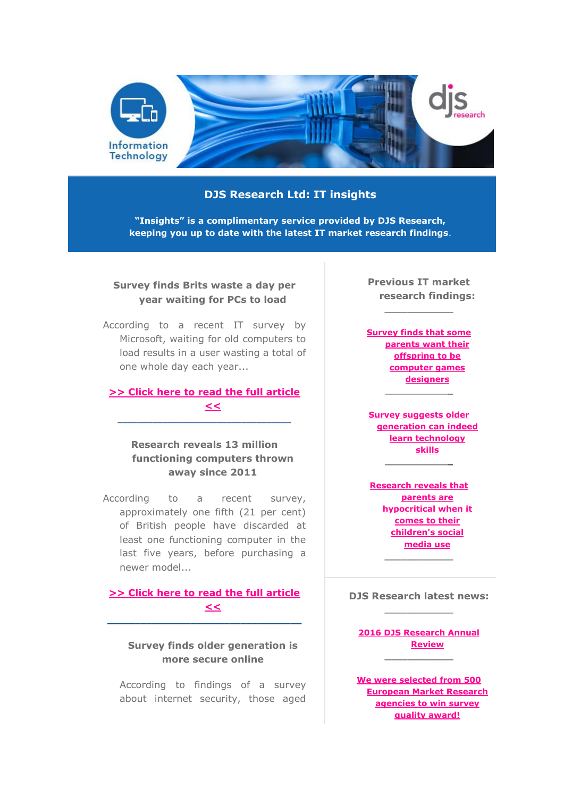

# **DJS Research Ltd: IT insights**

**"Insights" is a complimentary service provided by DJS Research, keeping you up to date with the latest IT market research findings**.

# **Survey finds Brits waste a day per year waiting for PCs to load**

According to a recent IT survey by Microsoft, waiting for old computers to load results in a user wasting a total of one whole day each year...

# **[>> Click here to read the full article](http://www.djsresearch.co.uk/InformationTechnologyMarketResearchInsightsAndFindings/article/Survey-finds-Brits-waste-a-day-per-year-waiting-for-PCs-to-load-03416)  [<<](http://www.djsresearch.co.uk/InformationTechnologyMarketResearchInsightsAndFindings/article/Survey-finds-Brits-waste-a-day-per-year-waiting-for-PCs-to-load-03416)**

 $\_$  ,  $\_$  ,  $\_$  ,  $\_$  ,  $\_$  ,  $\_$  ,  $\_$  ,  $\_$  ,  $\_$  ,  $\_$  ,  $\_$  ,  $\_$  ,  $\_$  ,  $\_$ 

# **Research reveals 13 million functioning computers thrown away since 2011**

According to a recent survey, approximately one fifth (21 per cent) of British people have discarded at least one functioning computer in the last five years, before purchasing a newer model...

#### **[>> Click here to read the full article](http://www.djsresearch.co.uk/InformationTechnologyMarketResearchInsightsAndFindings/article/Research-reveals-13-million-functioning-computers-thrown-away-since-2011-03366)  [<<](http://www.djsresearch.co.uk/InformationTechnologyMarketResearchInsightsAndFindings/article/Research-reveals-13-million-functioning-computers-thrown-away-since-2011-03366) \_\_\_\_\_\_\_\_\_\_\_\_\_\_\_\_\_\_\_\_\_\_\_\_\_\_\_\_\_\_\_\_\_\_\_**

## **Survey finds older generation is more secure online**

According to findings of a survey about internet security, those aged **Previous IT market research findings:**

**\_\_\_\_\_\_\_\_\_\_\_\_**

**[Survey finds that some](http://www.djsresearch.co.uk/InformationTechnologyMarketResearchInsightsAndFindings/article/Survey-finds-that-parents-want-their-offspring-to-be-computer-games-designers-03302)  [parents want their](http://www.djsresearch.co.uk/InformationTechnologyMarketResearchInsightsAndFindings/article/Survey-finds-that-parents-want-their-offspring-to-be-computer-games-designers-03302)  [offspring to be](http://www.djsresearch.co.uk/InformationTechnologyMarketResearchInsightsAndFindings/article/Survey-finds-that-parents-want-their-offspring-to-be-computer-games-designers-03302)  [computer games](http://www.djsresearch.co.uk/InformationTechnologyMarketResearchInsightsAndFindings/article/Survey-finds-that-parents-want-their-offspring-to-be-computer-games-designers-03302)  [designers](http://www.djsresearch.co.uk/InformationTechnologyMarketResearchInsightsAndFindings/article/Survey-finds-that-parents-want-their-offspring-to-be-computer-games-designers-03302) \_\_\_\_\_\_\_\_\_\_\_\_**

**[Survey suggests older](http://www.djsresearch.co.uk/InformationTechnologyMarketResearchInsightsAndFindings/article/Survey-suggests-older-generation-can-indeed-learn-technology-skills-03242)  [generation can indeed](http://www.djsresearch.co.uk/InformationTechnologyMarketResearchInsightsAndFindings/article/Survey-suggests-older-generation-can-indeed-learn-technology-skills-03242)  [learn technology](http://www.djsresearch.co.uk/InformationTechnologyMarketResearchInsightsAndFindings/article/Survey-suggests-older-generation-can-indeed-learn-technology-skills-03242)  [skills](http://www.djsresearch.co.uk/InformationTechnologyMarketResearchInsightsAndFindings/article/Survey-suggests-older-generation-can-indeed-learn-technology-skills-03242) \_\_\_\_\_\_\_\_\_\_\_\_**

**[Research reveals that](http://www.djsresearch.co.uk/InformationTechnologyMarketResearchInsightsAndFindings/article/Research-reveals-that-parents-are-hypocritical-when-it-comes-to-their-childrens-social-media-use-03191)  [parents are](http://www.djsresearch.co.uk/InformationTechnologyMarketResearchInsightsAndFindings/article/Research-reveals-that-parents-are-hypocritical-when-it-comes-to-their-childrens-social-media-use-03191)  [hypocritical when it](http://www.djsresearch.co.uk/InformationTechnologyMarketResearchInsightsAndFindings/article/Research-reveals-that-parents-are-hypocritical-when-it-comes-to-their-childrens-social-media-use-03191)  [comes to their](http://www.djsresearch.co.uk/InformationTechnologyMarketResearchInsightsAndFindings/article/Research-reveals-that-parents-are-hypocritical-when-it-comes-to-their-childrens-social-media-use-03191)  [children's social](http://www.djsresearch.co.uk/InformationTechnologyMarketResearchInsightsAndFindings/article/Research-reveals-that-parents-are-hypocritical-when-it-comes-to-their-childrens-social-media-use-03191)  [media use](http://www.djsresearch.co.uk/InformationTechnologyMarketResearchInsightsAndFindings/article/Research-reveals-that-parents-are-hypocritical-when-it-comes-to-their-childrens-social-media-use-03191)**

**DJS Research latest news:**

**\_\_\_\_\_\_\_\_\_\_\_\_**

**[2016 DJS Research Annual](http://www.djsresearch.co.uk/news/article/2016-DJS-Research-Annual-Review)  [Review](http://www.djsresearch.co.uk/news/article/2016-DJS-Research-Annual-Review) \_\_\_\_\_\_\_\_\_\_\_\_**

**[We were selected from 500](http://www.djsresearch.co.uk/news/article/We-were-selected-from-500-European-Market-Research-agencies-to-win-survey-quality-award)  [European Market Research](http://www.djsresearch.co.uk/news/article/We-were-selected-from-500-European-Market-Research-agencies-to-win-survey-quality-award)  [agencies to win survey](http://www.djsresearch.co.uk/news/article/We-were-selected-from-500-European-Market-Research-agencies-to-win-survey-quality-award)  [quality award!](http://www.djsresearch.co.uk/news/article/We-were-selected-from-500-European-Market-Research-agencies-to-win-survey-quality-award)**